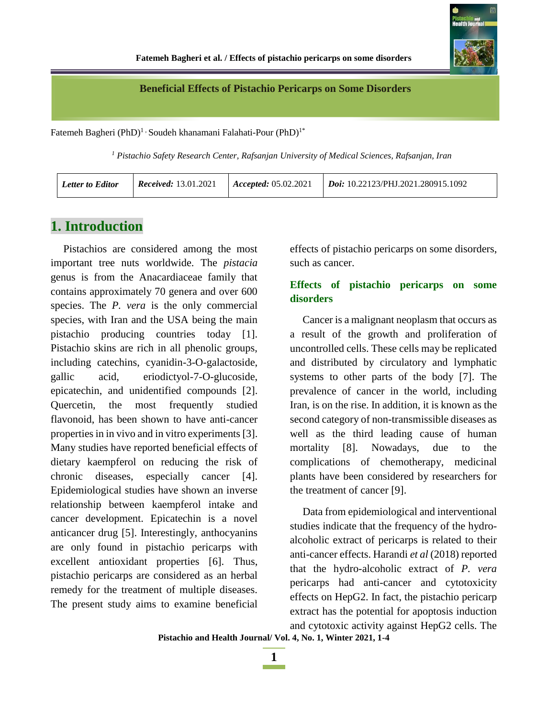

#### **Beneficial Effects of Pistachio Pericarps on Some Disorders**

Fatemeh Bagheri (PhD)<sup>1,</sup> Soudeh khanamani Falahati-Pour (PhD)<sup>1\*</sup>

*<sup>1</sup> Pistachio Safety Research Center, Rafsanjan University of Medical Sciences, Rafsanjan, Iran*

| <b>Letter to Editor</b> | <b>Received:</b> 13.01.2021 | $ $ <i>Accepted:</i> 05.02.2021 | $\mid$ <i>Doi:</i> 10.22123/PHJ.2021.280915.1092 |
|-------------------------|-----------------------------|---------------------------------|--------------------------------------------------|
|-------------------------|-----------------------------|---------------------------------|--------------------------------------------------|

### **1. Introduction**

Pistachios are considered among the most important tree nuts worldwide. The *pistacia* genus is from the Anacardiaceae family that contains approximately 70 genera and over 600 species. The *P. vera* is the only commercial species, with Iran and the USA being the main pistachio producing countries today [1]. Pistachio skins are rich in all phenolic groups, including catechins, cyanidin-3-O-galactoside, gallic acid, eriodictyol-7-O-glucoside, epicatechin, and unidentified compounds [2]. Quercetin, the most frequently studied flavonoid, has been shown to have anti-cancer properties in in vivo and in vitro experiments [3]. Many studies have reported beneficial effects of dietary kaempferol on reducing the risk of chronic diseases, especially cancer [4]. Epidemiological studies have shown an inverse relationship between kaempferol intake and cancer development. Epicatechin is a novel anticancer drug [5]. Interestingly, anthocyanins are only found in pistachio pericarps with excellent antioxidant properties [6]. Thus, pistachio pericarps are considered as an herbal remedy for the treatment of multiple diseases. The present study aims to examine beneficial

effects of pistachio pericarps on some disorders, such as cancer.

#### **Effects of pistachio pericarps on some disorders**

Cancer is a malignant neoplasm that occurs as a result of the growth and proliferation of uncontrolled cells. These cells may be replicated and distributed by circulatory and lymphatic systems to other parts of the body [7]. The prevalence of cancer in the world, including Iran, is on the rise. In addition, it is known as the second category of non-transmissible diseases as well as the third leading cause of human mortality [8]. Nowadays, due to the complications of chemotherapy, medicinal plants have been considered by researchers for the treatment of cancer [9].

Data from epidemiological and interventional studies indicate that the frequency of the hydroalcoholic extract of pericarps is related to their anti-cancer effects. Harandi *et al* (2018) reported that the hydro-alcoholic extract of *P. vera* pericarps had anti-cancer and cytotoxicity effects on HepG2. In fact, the pistachio pericarp extract has the potential for apoptosis induction and cytotoxic activity against HepG2 cells. The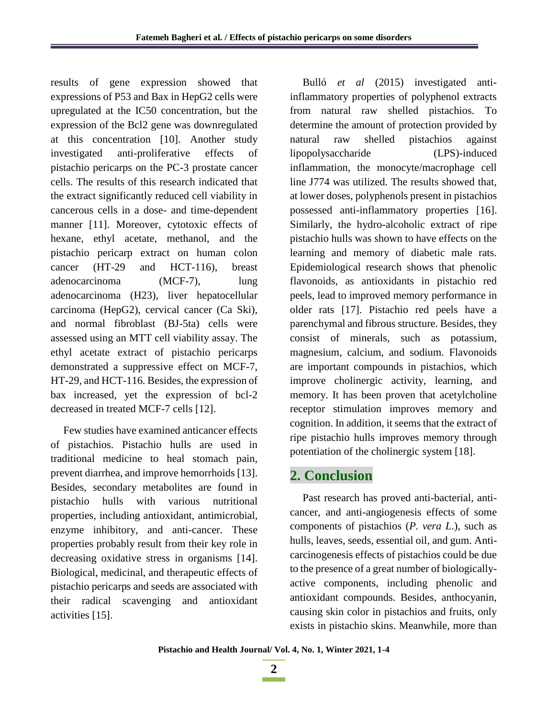results of gene expression showed that expressions of P53 and Bax in HepG2 cells were upregulated at the IC50 concentration, but the expression of the Bcl2 gene was downregulated at this concentration [10]. Another study investigated anti-proliferative effects of pistachio pericarps on the PC-3 prostate cancer cells. The results of this research indicated that the extract significantly reduced cell viability in cancerous cells in a dose- and time-dependent manner [11]. Moreover, cytotoxic effects of hexane, ethyl acetate, methanol, and the pistachio pericarp extract on human colon cancer (HT-29 and HCT-116), breast adenocarcinoma (MCF-7), lung adenocarcinoma (H23), liver hepatocellular carcinoma (HepG2), cervical cancer (Ca Ski), and normal fibroblast (BJ-5ta) cells were assessed using an MTT cell viability assay. The ethyl acetate extract of pistachio pericarps demonstrated a suppressive effect on MCF-7, HT-29, and HCT-116. Besides, the expression of bax increased, yet the expression of bcl-2 decreased in treated MCF-7 cells [12].

Few studies have examined anticancer effects of pistachios. Pistachio hulls are used in traditional medicine to heal stomach pain, prevent diarrhea, and improve hemorrhoids [13]. Besides, secondary metabolites are found in pistachio hulls with various nutritional properties, including antioxidant, antimicrobial, enzyme inhibitory, and anti-cancer. These properties probably result from their key role in decreasing oxidative stress in organisms [14]. Biological, medicinal, and therapeutic effects of pistachio pericarps and seeds are associated with their radical scavenging and antioxidant activities [15].

Bulló *et al* (2015) investigated antiinflammatory properties of polyphenol extracts from natural raw shelled pistachios. To determine the amount of protection provided by natural raw shelled pistachios against lipopolysaccharide (LPS)-induced inflammation, the monocyte/macrophage cell line J774 was utilized. The results showed that, at lower doses, polyphenols present in pistachios possessed anti-inflammatory properties [16]. Similarly, the hydro-alcoholic extract of ripe pistachio hulls was shown to have effects on the learning and memory of diabetic male rats. Epidemiological research shows that phenolic flavonoids, as antioxidants in pistachio red peels, lead to improved memory performance in older rats [17]. Pistachio red peels have a parenchymal and fibrous structure. Besides, they consist of minerals, such as potassium, magnesium, calcium, and sodium. Flavonoids are important compounds in pistachios, which improve cholinergic activity, learning, and memory. It has been proven that acetylcholine receptor stimulation improves memory and cognition. In addition, it seems that the extract of ripe pistachio hulls improves memory through potentiation of the cholinergic system [18].

# **2. Conclusion**

Past research has proved anti-bacterial, anticancer, and anti-angiogenesis effects of some components of pistachios (*P. vera L*.), such as hulls, leaves, seeds, essential oil, and gum. Anticarcinogenesis effects of pistachios could be due to the presence of a great number of biologicallyactive components, including phenolic and antioxidant compounds. Besides, anthocyanin, causing skin color in pistachios and fruits, only exists in pistachio skins. Meanwhile, more than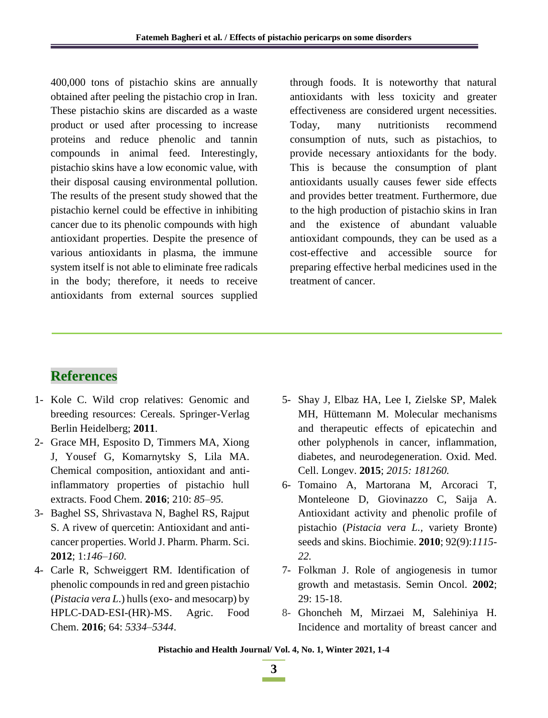400,000 tons of pistachio skins are annually obtained after peeling the pistachio crop in Iran. These pistachio skins are discarded as a waste product or used after processing to increase proteins and reduce phenolic and tannin compounds in animal feed. Interestingly, pistachio skins have a low economic value, with their disposal causing environmental pollution. The results of the present study showed that the pistachio kernel could be effective in inhibiting cancer due to its phenolic compounds with high antioxidant properties. Despite the presence of various antioxidants in plasma, the immune system itself is not able to eliminate free radicals in the body; therefore, it needs to receive antioxidants from external sources supplied

through foods. It is noteworthy that natural antioxidants with less toxicity and greater effectiveness are considered urgent necessities. Today, many nutritionists recommend consumption of nuts, such as pistachios, to provide necessary antioxidants for the body. This is because the consumption of plant antioxidants usually causes fewer side effects and provides better treatment. Furthermore, due to the high production of pistachio skins in Iran and the existence of abundant valuable antioxidant compounds, they can be used as a cost-effective and accessible source for preparing effective herbal medicines used in the treatment of cancer.

## **References**

- 1- Kole C. Wild crop relatives: Genomic and breeding resources: Cereals. Springer-Verlag Berlin Heidelberg; **2011**.
- 2- Grace MH, Esposito D, Timmers MA, Xiong J, Yousef G, Komarnytsky S, Lila MA. Chemical composition, antioxidant and antiinflammatory properties of pistachio hull extracts. Food Chem. **2016**; 210: *85–95.*
- 3- Baghel SS, Shrivastava N, Baghel RS, Rajput S. A rivew of quercetin: Antioxidant and anticancer properties. World J. Pharm. Pharm. Sci. **2012**; 1:*146–160*.
- 4- Carle R, Schweiggert RM. Identification of phenolic compounds in red and green pistachio (*Pistacia vera L*.) hulls (exo- and mesocarp) by HPLC-DAD-ESI-(HR)-MS. Agric. Food Chem. **2016**; 64: *5334–5344*.
- 5- Shay J, Elbaz HA, Lee I, Zielske SP, Malek MH, Hüttemann M. Molecular mechanisms and therapeutic effects of epicatechin and other polyphenols in cancer, inflammation, diabetes, and neurodegeneration. Oxid. Med. Cell. Longev. **2015**; *2015: 181260.*
- 6- Tomaino A, Martorana M, Arcoraci T, Monteleone D, Giovinazzo C, Saija A. Antioxidant activity and phenolic profile of pistachio (*Pistacia vera L.,* variety Bronte) seeds and skins. Biochimie. **2010**; 92(9):*1115- 22.*
- 7- Folkman J. Role of angiogenesis in tumor growth and metastasis. Semin Oncol. **2002**; 29: 15-18.
- 8- Ghoncheh M, Mirzaei M, Salehiniya H. Incidence and mortality of breast cancer and

**Pistachio and Health Journal/ Vol. 4, No. 1, Winter 2021, 1-4**